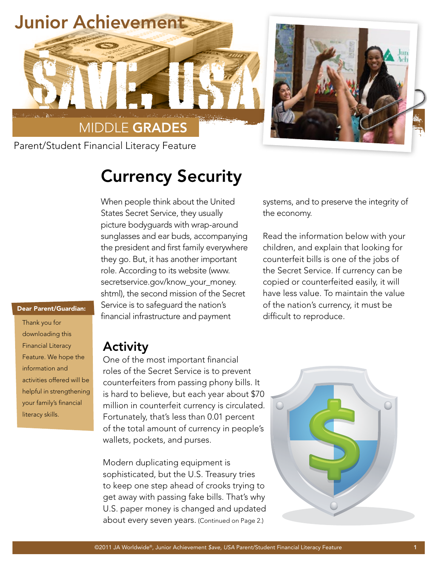

## Currency Security

When people think about the United States Secret Service, they usually picture bodyguards with wrap-around sunglasses and ear buds, accompanying the president and first family everywhere they go. But, it has another important role. According to its website (www. secretservice.gov/know\_your\_money. shtml), the second mission of the Secret Service is to safeguard the nation's financial infrastructure and payment

systems, and to preserve the integrity of the economy.

Read the information below with your children, and explain that looking for counterfeit bills is one of the jobs of the Secret Service. If currency can be copied or counterfeited easily, it will have less value. To maintain the value of the nation's currency, it must be difficult to reproduce.

## Dear Parent/Guardian:

Thank you for downloading this Financial Literacy Feature. We hope the information and activities offered will be helpful in strengthening your family's financial literacy skills.

## Activity

One of the most important financial roles of the Secret Service is to prevent counterfeiters from passing phony bills. It is hard to believe, but each year about \$70 million in counterfeit currency is circulated. Fortunately, that's less than 0.01 percent of the total amount of currency in people's wallets, pockets, and purses.

Modern duplicating equipment is sophisticated, but the U.S. Treasury tries to keep one step ahead of crooks trying to get away with passing fake bills. That's why U.S. paper money is changed and updated about every seven years. (Continued on Page 2.)

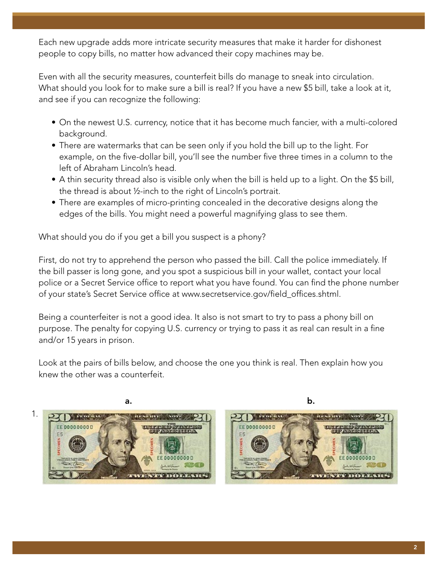Each new upgrade adds more intricate security measures that make it harder for dishonest people to copy bills, no matter how advanced their copy machines may be.

Even with all the security measures, counterfeit bills do manage to sneak into circulation. What should you look for to make sure a bill is real? If you have a new \$5 bill, take a look at it, and see if you can recognize the following:

- On the newest U.S. currency, notice that it has become much fancier, with a multi-colored background.
- There are watermarks that can be seen only if you hold the bill up to the light. For example, on the five-dollar bill, you'll see the number five three times in a column to the left of Abraham Lincoln's head.
- A thin security thread also is visible only when the bill is held up to a light. On the \$5 bill, the thread is about ½-inch to the right of Lincoln's portrait.
- There are examples of micro-printing concealed in the decorative designs along the edges of the bills. You might need a powerful magnifying glass to see them.

What should you do if you get a bill you suspect is a phony?

First, do not try to apprehend the person who passed the bill. Call the police immediately. If the bill passer is long gone, and you spot a suspicious bill in your wallet, contact your local police or a Secret Service office to report what you have found. You can find the phone number of your state's Secret Service office at www.secretservice.gov/field\_offices.shtml.

Being a counterfeiter is not a good idea. It also is not smart to try to pass a phony bill on purpose. The penalty for copying U.S. currency or trying to pass it as real can result in a fine and/or 15 years in prison.

Look at the pairs of bills below, and choose the one you think is real. Then explain how you knew the other was a counterfeit.